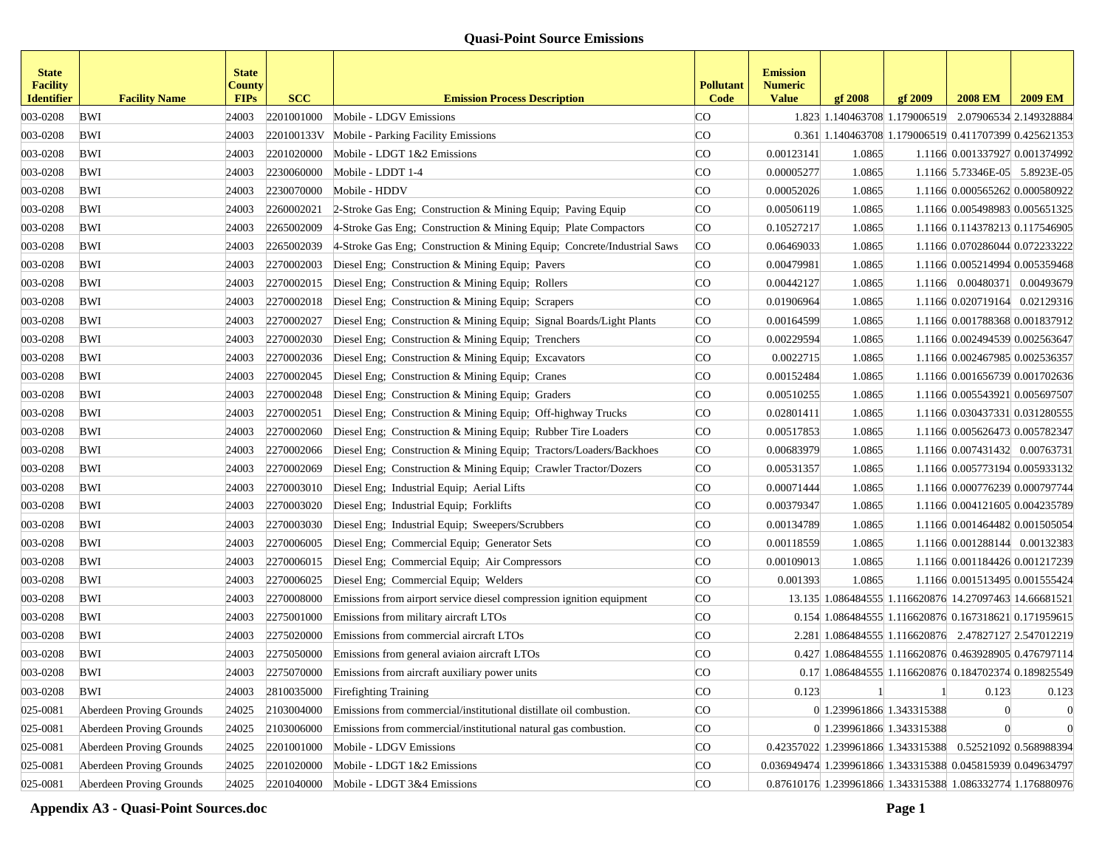| <b>State</b><br><b>Facility</b><br><b>Identifier</b> | <b>Facility Name</b>     | <b>State</b><br>County<br><b>FIPs</b> | <b>SCC</b> | <b>Emission Process Description</b>                                     | <b>Pollutant</b><br>Code | <b>Emission</b><br><b>Numeric</b><br><b>Value</b> | gf 2008                                                     | gf 2009 | <b>2008 EM</b>                 | <b>2009 EM</b>                 |
|------------------------------------------------------|--------------------------|---------------------------------------|------------|-------------------------------------------------------------------------|--------------------------|---------------------------------------------------|-------------------------------------------------------------|---------|--------------------------------|--------------------------------|
| 003-0208                                             | BWI                      | 24003                                 | 2201001000 | Mobile - LDGV Emissions                                                 | <b>CO</b>                |                                                   | 1.823 1.140463708 1.179006519 2.07906534 2.149328884        |         |                                |                                |
| 003-0208                                             | BWI                      | 24003                                 |            | 220100133V Mobile - Parking Facility Emissions                          | <b>CO</b>                |                                                   | 0.361 1.140463708 1.179006519 0.411707399 0.425621353       |         |                                |                                |
| 003-0208                                             | BWI                      | 24003                                 | 2201020000 | Mobile - LDGT 1&2 Emissions                                             | <b>CO</b>                | 0.00123141                                        | 1.0865                                                      |         |                                | 1.1166 0.001337927 0.001374992 |
| 003-0208                                             | BWI                      | 24003                                 | 2230060000 | Mobile - LDDT 1-4                                                       | CO.                      | 0.00005277                                        | 1.0865                                                      |         |                                | 1.1166 5.73346E-05 5.8923E-05  |
| 003-0208                                             | BWI                      | 24003                                 | 2230070000 | Mobile - HDDV                                                           | <b>CO</b>                | 0.00052026                                        | 1.0865                                                      |         |                                | 1.1166 0.000565262 0.000580922 |
| 003-0208                                             | BWI                      | 24003                                 | 2260002021 | 2-Stroke Gas Eng; Construction & Mining Equip; Paving Equip             | <b>CO</b>                | 0.00506119                                        | 1.0865                                                      |         |                                | 1.1166 0.005498983 0.005651325 |
| 003-0208                                             | BWI                      | 24003                                 | 2265002009 | 4-Stroke Gas Eng; Construction & Mining Equip; Plate Compactors         | <sub>c</sub> o           | 0.10527217                                        | 1.0865                                                      |         |                                | 1.1166 0.114378213 0.117546905 |
| 003-0208                                             | BWI                      | 24003                                 | 2265002039 | 4-Stroke Gas Eng; Construction & Mining Equip; Concrete/Industrial Saws | CO                       | 0.06469033                                        | 1.0865                                                      |         |                                | 1.1166 0.070286044 0.072233222 |
| 003-0208                                             | BWI                      | 24003                                 | 2270002003 | Diesel Eng; Construction & Mining Equip; Pavers                         | <b>CO</b>                | 0.00479981                                        | 1.0865                                                      |         |                                | 1.1166 0.005214994 0.005359468 |
| 003-0208                                             | BWI                      | 24003                                 | 2270002015 | Diesel Eng; Construction & Mining Equip; Rollers                        | <sub>c</sub> o           | 0.00442127                                        | 1.0865                                                      |         |                                | 1.1166 0.00480371 0.00493679   |
| 003-0208                                             | BWI                      | 24003                                 | 2270002018 | Diesel Eng; Construction & Mining Equip; Scrapers                       | <b>CO</b>                | 0.01906964                                        | 1.0865                                                      |         |                                | 1.1166 0.020719164 0.02129316  |
| 003-0208                                             | BWI                      | 24003                                 | 2270002027 | Diesel Eng; Construction & Mining Equip; Signal Boards/Light Plants     | CO                       | 0.00164599                                        | 1.0865                                                      |         |                                | 1.1166 0.001788368 0.001837912 |
| 003-0208                                             | BWI                      | 24003                                 | 2270002030 | Diesel Eng; Construction & Mining Equip; Trenchers                      | <b>CO</b>                | 0.00229594                                        | 1.0865                                                      |         | 1.1166 0.002494539 0.002563647 |                                |
| 003-0208                                             | BWI                      | 24003                                 | 2270002036 | Diesel Eng; Construction & Mining Equip; Excavators                     | <b>CO</b>                | 0.0022715                                         | 1.0865                                                      |         | 1.1166 0.002467985 0.002536357 |                                |
| 003-0208                                             | BWI                      | 24003                                 | 2270002045 | Diesel Eng; Construction & Mining Equip; Cranes                         | <b>CO</b>                | 0.00152484                                        | 1.0865                                                      |         |                                | 1.1166 0.001656739 0.001702636 |
| 003-0208                                             | BWI                      | 24003                                 | 2270002048 | Diesel Eng; Construction & Mining Equip; Graders                        | <b>CO</b>                | 0.00510255                                        | 1.0865                                                      |         |                                | 1.1166 0.005543921 0.005697507 |
| 003-0208                                             | BWI                      | 24003                                 | 2270002051 | Diesel Eng; Construction & Mining Equip; Off-highway Trucks             | <sub>c</sub> o           | 0.02801411                                        | 1.0865                                                      |         |                                | 1.1166 0.030437331 0.031280555 |
| 003-0208                                             | BWI                      | 24003                                 | 2270002060 | Diesel Eng; Construction & Mining Equip; Rubber Tire Loaders            | <b>CO</b>                | 0.00517853                                        | 1.0865                                                      |         | 1.1166 0.005626473 0.005782347 |                                |
| 003-0208                                             | BWI                      | 24003                                 | 2270002066 | Diesel Eng; Construction & Mining Equip; Tractors/Loaders/Backhoes      | <sub>c</sub> o           | 0.00683979                                        | 1.0865                                                      |         | 1.1166 0.007431432 0.00763731  |                                |
| 003-0208                                             | BWI                      | 24003                                 | 2270002069 | Diesel Eng; Construction & Mining Equip; Crawler Tractor/Dozers         | <b>CO</b>                | 0.00531357                                        | 1.0865                                                      |         |                                | 1.1166 0.005773194 0.005933132 |
| 003-0208                                             | BWI                      | 24003                                 | 2270003010 | Diesel Eng; Industrial Equip; Aerial Lifts                              | <b>CO</b>                | 0.00071444                                        | 1.0865                                                      |         |                                | 1.1166 0.000776239 0.000797744 |
| 003-0208                                             | BWI                      | 24003                                 | 2270003020 | Diesel Eng; Industrial Equip; Forklifts                                 | <b>CO</b>                | 0.00379347                                        | 1.0865                                                      |         |                                | 1.1166 0.004121605 0.004235789 |
| 003-0208                                             | BWI                      | 24003                                 | 2270003030 | Diesel Eng; Industrial Equip; Sweepers/Scrubbers                        | <b>CO</b>                | 0.00134789                                        | 1.0865                                                      |         |                                | 1.1166 0.001464482 0.001505054 |
| 003-0208                                             | BWI                      | 24003                                 | 2270006005 | Diesel Eng; Commercial Equip; Generator Sets                            | <b>CO</b>                | 0.00118559                                        | 1.0865                                                      |         |                                | 1.1166 0.001288144 0.00132383  |
| 003-0208                                             | BWI                      | 24003                                 | 2270006015 | Diesel Eng; Commercial Equip; Air Compressors                           | <b>CO</b>                | 0.00109013                                        | 1.0865                                                      |         |                                | 1.1166 0.001184426 0.001217239 |
| 003-0208                                             | BWI                      | 24003                                 | 2270006025 | Diesel Eng; Commercial Equip; Welders                                   | <b>CO</b>                | 0.001393                                          | 1.0865                                                      |         |                                | 1.1166 0.001513495 0.001555424 |
| 003-0208                                             | BWI                      | 24003                                 | 2270008000 | Emissions from airport service diesel compression ignition equipment    | <b>CO</b>                |                                                   | 13.135 1.086484555 1.116620876 14.27097463 14.66681521      |         |                                |                                |
| 003-0208                                             | BWI                      | 24003                                 | 2275001000 | Emissions from military aircraft LTOs                                   | CO.                      |                                                   | 0.154 1.086484555 1.116620876 0.167318621 0.171959615       |         |                                |                                |
| 003-0208                                             | BWI                      | 24003                                 | 2275020000 | Emissions from commercial aircraft LTOs                                 | <b>CO</b>                |                                                   | 2.281 1.086484555 1.116620876 2.47827127 2.547012219        |         |                                |                                |
| 003-0208                                             | BWI                      | 24003                                 | 2275050000 | Emissions from general aviaion aircraft LTOs                            | <b>CO</b>                |                                                   | 0.427 1.086484555 1.116620876 0.463928905 0.476797114       |         |                                |                                |
| 003-0208                                             | BWI                      | 24003                                 | 2275070000 | Emissions from aircraft auxiliary power units                           | <b>CO</b>                |                                                   | 0.17 1.086484555 1.116620876 0.184702374 0.189825549        |         |                                |                                |
| 003-0208                                             | BWI                      | 24003                                 | 2810035000 | <b>Firefighting Training</b>                                            | CO                       | 0.123                                             |                                                             |         | 0.123                          | 0.123                          |
| 025-0081                                             | Aberdeen Proving Grounds | 24025                                 | 2103004000 | Emissions from commercial/institutional distillate oil combustion.      | CO.                      |                                                   | 0 1.239961866 1.343315388                                   |         |                                | $\theta$                       |
| 025-0081                                             | Aberdeen Proving Grounds | 24025                                 | 2103006000 | Emissions from commercial/institutional natural gas combustion.         | <sub>c</sub> o           |                                                   | 0 1.239961866 1.343315388                                   |         |                                | $\theta$                       |
| 025-0081                                             | Aberdeen Proving Grounds | 24025                                 | 2201001000 | Mobile - LDGV Emissions                                                 | CO                       |                                                   | 0.42357022 1.239961866 1.343315388 0.52521092 0.568988394   |         |                                |                                |
| 025-0081                                             | Aberdeen Proving Grounds | 24025                                 | 2201020000 | Mobile - LDGT 1&2 Emissions                                             | CO                       |                                                   | 0.036949474 1.239961866 1.343315388 0.045815939 0.049634797 |         |                                |                                |
| 025-0081                                             | Aberdeen Proving Grounds | 24025                                 |            | $2201040000$ Mobile - LDGT 3&4 Emissions                                | CO                       |                                                   | 0.87610176 1.239961866 1.343315388 1.086332774 1.176880976  |         |                                |                                |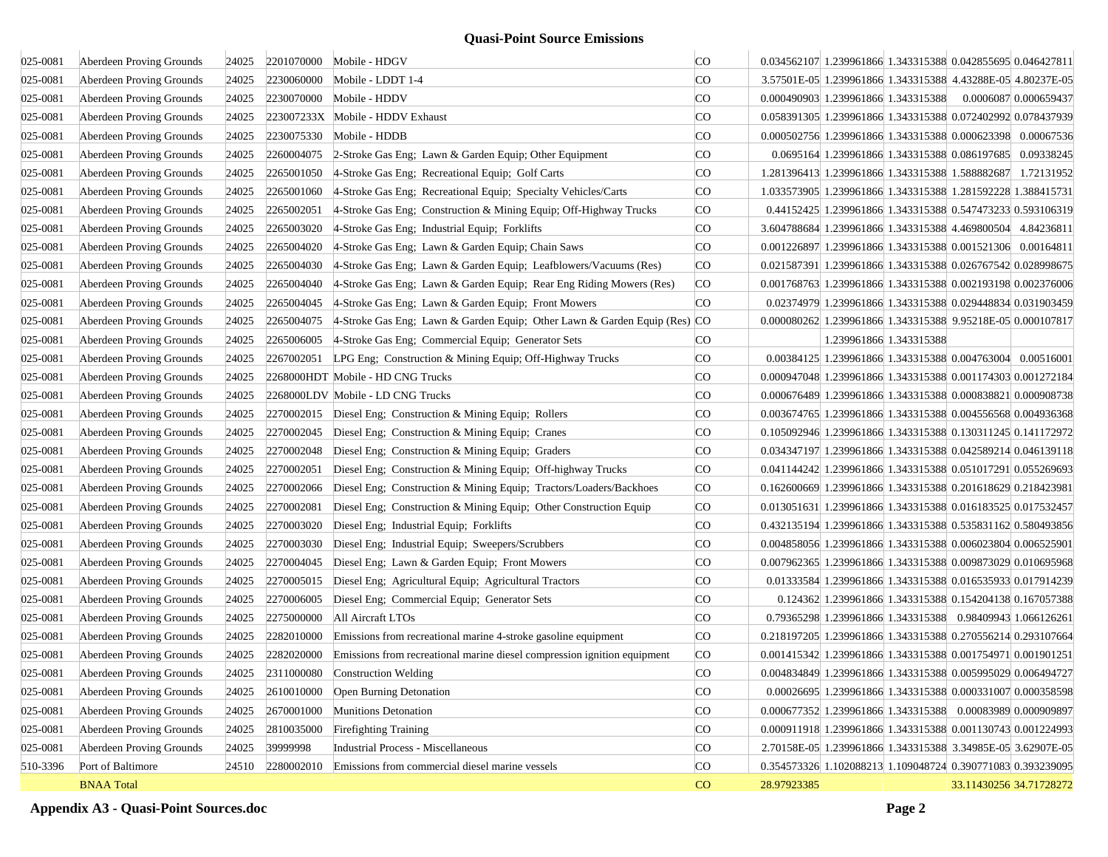| 025-0081 | Aberdeen Proving Grounds | 24025 | 2201070000 | Mobile - HDGV                                                             | <b>CO</b>      | 0.034562107 1.239961866 1.343315388 0.042855695 0.046427811 |                                                             |                         |
|----------|--------------------------|-------|------------|---------------------------------------------------------------------------|----------------|-------------------------------------------------------------|-------------------------------------------------------------|-------------------------|
| 025-0081 | Aberdeen Proving Grounds | 24025 | 2230060000 | Mobile - LDDT 1-4                                                         | <b>CO</b>      |                                                             | 3.57501E-05 1.239961866 1.343315388 4.43288E-05 4.80237E-05 |                         |
| 025-0081 | Aberdeen Proving Grounds | 24025 | 2230070000 | Mobile - HDDV                                                             | <b>CO</b>      | 0.000490903 1.239961866 1.343315388                         |                                                             | 0.0006087 0.000659437   |
| 025-0081 | Aberdeen Proving Grounds | 24025 |            | 223007233X Mobile - HDDV Exhaust                                          | <b>CO</b>      | 0.058391305 1.239961866 1.343315388 0.072402992 0.078437939 |                                                             |                         |
| 025-0081 | Aberdeen Proving Grounds | 24025 | 2230075330 | Mobile - HDDB                                                             | <b>CO</b>      | 0.000502756 1.239961866 1.343315388 0.000623398 0.00067536  |                                                             |                         |
| 025-0081 | Aberdeen Proving Grounds | 24025 | 2260004075 | 2-Stroke Gas Eng; Lawn & Garden Equip; Other Equipment                    | CO.            |                                                             | 0.0695164 1.239961866 1.343315388 0.086197685 0.09338245    |                         |
| 025-0081 | Aberdeen Proving Grounds | 24025 | 2265001050 | 4-Stroke Gas Eng; Recreational Equip; Golf Carts                          | CO.            |                                                             | 1.281396413 1.239961866 1.343315388 1.588882687 1.72131952  |                         |
| 025-0081 | Aberdeen Proving Grounds | 24025 | 2265001060 | 4-Stroke Gas Eng; Recreational Equip; Specialty Vehicles/Carts            | <b>CO</b>      | 1.033573905 1.239961866 1.343315388 1.281592228 1.388415731 |                                                             |                         |
| 025-0081 | Aberdeen Proving Grounds | 24025 | 2265002051 | 4-Stroke Gas Eng; Construction & Mining Equip; Off-Highway Trucks         | <sub>c</sub> o |                                                             | 0.44152425 1.239961866 1.343315388 0.547473233 0.593106319  |                         |
| 025-0081 | Aberdeen Proving Grounds | 24025 | 2265003020 | 4-Stroke Gas Eng; Industrial Equip; Forklifts                             | <b>CO</b>      |                                                             | 3.604788684 1.239961866 1.343315388 4.469800504 4.84236811  |                         |
| 025-0081 | Aberdeen Proving Grounds | 24025 | 2265004020 | 4-Stroke Gas Eng; Lawn & Garden Equip; Chain Saws                         | <b>CO</b>      | 0.001226897 1.239961866 1.343315388 0.001521306 0.00164811  |                                                             |                         |
| 025-0081 | Aberdeen Proving Grounds | 24025 | 2265004030 | 4-Stroke Gas Eng; Lawn & Garden Equip; Leafblowers/Vacuums (Res)          | <b>CO</b>      | 0.021587391 1.239961866 1.343315388 0.026767542 0.028998675 |                                                             |                         |
| 025-0081 | Aberdeen Proving Grounds | 24025 | 2265004040 | 4-Stroke Gas Eng; Lawn & Garden Equip; Rear Eng Riding Mowers (Res)       | <sub>c</sub> o | 0.001768763 1.239961866 1.343315388 0.002193198 0.002376006 |                                                             |                         |
| 025-0081 | Aberdeen Proving Grounds | 24025 | 2265004045 | 4-Stroke Gas Eng; Lawn & Garden Equip; Front Mowers                       | <b>CO</b>      |                                                             | 0.02374979 1.239961866 1.343315388 0.029448834 0.031903459  |                         |
| 025-0081 | Aberdeen Proving Grounds | 24025 | 2265004075 | 4-Stroke Gas Eng; Lawn & Garden Equip; Other Lawn & Garden Equip (Res) CO |                | 0.000080262 1.239961866 1.343315388 9.95218E-05 0.000107817 |                                                             |                         |
| 025-0081 | Aberdeen Proving Grounds | 24025 | 2265006005 | 4-Stroke Gas Eng; Commercial Equip; Generator Sets                        | CO.            |                                                             | 1.239961866 1.343315388                                     |                         |
| 025-0081 | Aberdeen Proving Grounds | 24025 | 2267002051 | LPG Eng; Construction & Mining Equip; Off-Highway Trucks                  | CO.            |                                                             | 0.00384125 1.239961866 1.343315388 0.004763004 0.00516001   |                         |
| 025-0081 | Aberdeen Proving Grounds | 24025 |            | 2268000HDT Mobile - HD CNG Trucks                                         | <b>CO</b>      | 0.000947048 1.239961866 1.343315388 0.001174303 0.001272184 |                                                             |                         |
| 025-0081 | Aberdeen Proving Grounds | 24025 |            | 2268000LDV Mobile - LD CNG Trucks                                         | CO.            | 0.000676489 1.239961866 1.343315388 0.000838821 0.000908738 |                                                             |                         |
| 025-0081 | Aberdeen Proving Grounds | 24025 | 2270002015 | Diesel Eng; Construction & Mining Equip; Rollers                          | <b>CO</b>      | 0.003674765 1.239961866 1.343315388 0.004556568 0.004936368 |                                                             |                         |
| 025-0081 | Aberdeen Proving Grounds | 24025 | 2270002045 | Diesel Eng; Construction & Mining Equip; Cranes                           | CO.            | 0.105092946 1.239961866 1.343315388 0.130311245 0.141172972 |                                                             |                         |
| 025-0081 | Aberdeen Proving Grounds | 24025 | 2270002048 | Diesel Eng; Construction & Mining Equip; Graders                          | <b>CO</b>      | 0.034347197 1.239961866 1.343315388 0.042589214 0.046139118 |                                                             |                         |
| 025-0081 | Aberdeen Proving Grounds | 24025 | 2270002051 | Diesel Eng; Construction & Mining Equip; Off-highway Trucks               | <b>CO</b>      | 0.041144242 1.239961866 1.343315388 0.051017291 0.055269693 |                                                             |                         |
| 025-0081 | Aberdeen Proving Grounds | 24025 | 2270002066 | Diesel Eng; Construction & Mining Equip; Tractors/Loaders/Backhoes        | <b>CO</b>      | 0.162600669 1.239961866 1.343315388 0.201618629 0.218423981 |                                                             |                         |
| 025-0081 | Aberdeen Proving Grounds | 24025 | 2270002081 | Diesel Eng; Construction & Mining Equip; Other Construction Equip         | <b>CO</b>      | 0.013051631 1.239961866 1.343315388 0.016183525 0.017532457 |                                                             |                         |
| 025-0081 | Aberdeen Proving Grounds | 24025 | 2270003020 | Diesel Eng; Industrial Equip; Forklifts                                   | CO.            | 0.432135194 1.239961866 1.343315388 0.535831162 0.580493856 |                                                             |                         |
| 025-0081 | Aberdeen Proving Grounds | 24025 | 2270003030 | Diesel Eng; Industrial Equip; Sweepers/Scrubbers                          | <b>CO</b>      | 0.004858056 1.239961866 1.343315388 0.006023804 0.006525901 |                                                             |                         |
| 025-0081 | Aberdeen Proving Grounds | 24025 | 2270004045 | Diesel Eng; Lawn & Garden Equip; Front Mowers                             | <b>CO</b>      | 0.007962365 1.239961866 1.343315388 0.009873029 0.010695968 |                                                             |                         |
| 025-0081 | Aberdeen Proving Grounds | 24025 | 2270005015 | Diesel Eng; Agricultural Equip; Agricultural Tractors                     | <b>CO</b>      |                                                             | 0.01333584 1.239961866 1.343315388 0.016535933 0.017914239  |                         |
| 025-0081 | Aberdeen Proving Grounds | 24025 | 2270006005 | Diesel Eng; Commercial Equip; Generator Sets                              | <b>CO</b>      |                                                             | 0.124362 1.239961866 1.343315388 0.154204138 0.167057388    |                         |
| 025-0081 | Aberdeen Proving Grounds | 24025 | 2275000000 | All Aircraft LTOs                                                         | CO.            |                                                             | 0.79365298 1.239961866 1.343315388 0.98409943 1.066126261   |                         |
| 025-0081 | Aberdeen Proving Grounds | 24025 | 2282010000 | Emissions from recreational marine 4-stroke gasoline equipment            | <sub>c</sub> o | 0.218197205 1.239961866 1.343315388 0.270556214 0.293107664 |                                                             |                         |
| 025-0081 | Aberdeen Proving Grounds | 24025 | 2282020000 | Emissions from recreational marine diesel compression ignition equipment  | CO             | 0.001415342 1.239961866 1.343315388 0.001754971 0.001901251 |                                                             |                         |
| 025-0081 | Aberdeen Proving Grounds | 24025 | 2311000080 | <b>Construction Welding</b>                                               | <b>CO</b>      | 0.004834849 1.239961866 1.343315388 0.005995029 0.006494727 |                                                             |                         |
| 025-0081 | Aberdeen Proving Grounds | 24025 | 2610010000 | Open Burning Detonation                                                   | <b>CO</b>      |                                                             | 0.00026695 1.239961866 1.343315388 0.000331007 0.000358598  |                         |
| 025-0081 | Aberdeen Proving Grounds | 24025 | 2670001000 | Munitions Detonation                                                      | CO             | 0.000677352 1.239961866 1.343315388 0.00083989 0.000909897  |                                                             |                         |
| 025-0081 | Aberdeen Proving Grounds | 24025 | 2810035000 | <b>Firefighting Training</b>                                              | CO             | 0.000911918 1.239961866 1.343315388 0.001130743 0.001224993 |                                                             |                         |
| 025-0081 | Aberdeen Proving Grounds | 24025 | 39999998   | <b>Industrial Process - Miscellaneous</b>                                 | CO             | 2.70158E-05 1.239961866 1.343315388 3.34985E-05 3.62907E-05 |                                                             |                         |
| 510-3396 | Port of Baltimore        | 24510 | 2280002010 | Emissions from commercial diesel marine vessels                           | CO             | 0.354573326 1.102088213 1.109048724 0.390771083 0.393239095 |                                                             |                         |
|          | <b>BNAA Total</b>        |       |            |                                                                           | CO             | 28.97923385                                                 |                                                             | 33.11430256 34.71728272 |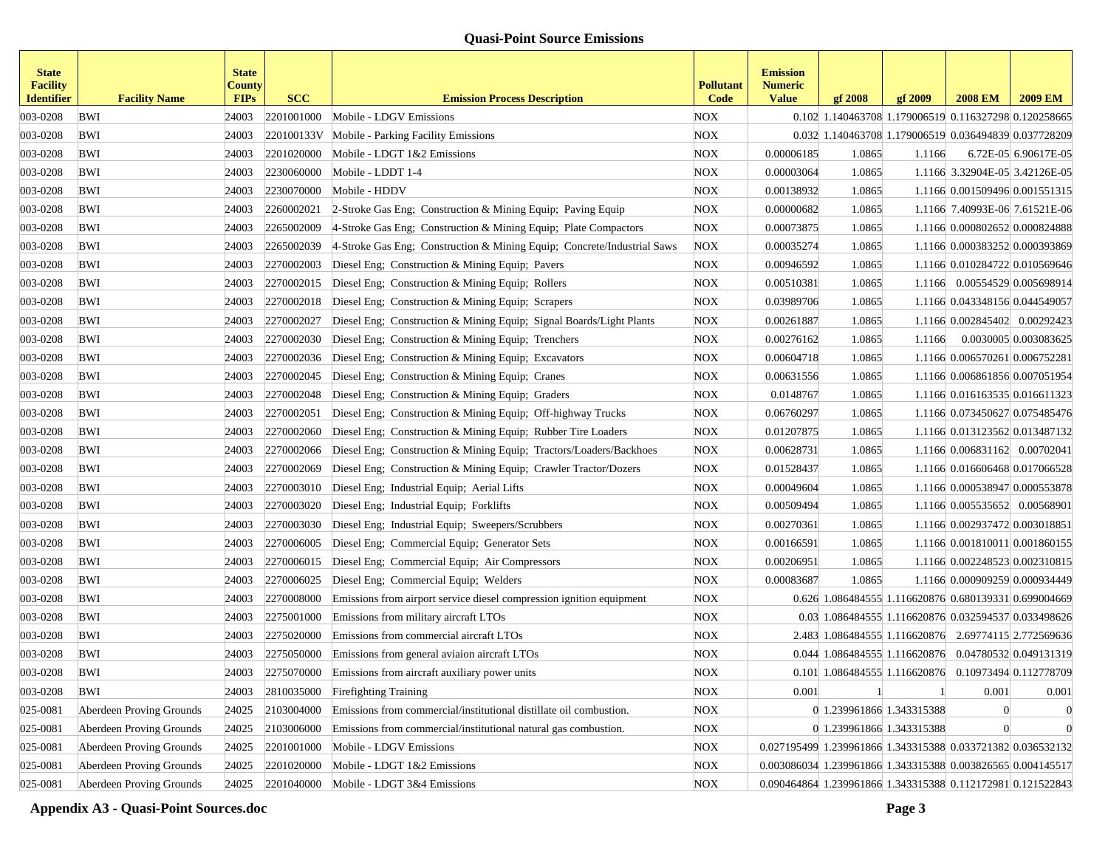| <b>State</b><br><b>Facility</b><br><b>Identifier</b> | <b>Facility Name</b>     | <b>State</b><br>County<br><b>FIPs</b> | <b>SCC</b> | <b>Emission Process Description</b>                                     | <b>Pollutant</b><br>Code | <b>Emission</b><br><b>Numeric</b><br><b>Value</b>           | gf 2008                                               | gf 2009 | <b>2008 EM</b>                 | <b>2009 EM</b>                 |
|------------------------------------------------------|--------------------------|---------------------------------------|------------|-------------------------------------------------------------------------|--------------------------|-------------------------------------------------------------|-------------------------------------------------------|---------|--------------------------------|--------------------------------|
| 003-0208                                             | <b>BWI</b>               | 24003                                 | 2201001000 | Mobile - LDGV Emissions                                                 | <b>NOX</b>               |                                                             | 0.102 1.140463708 1.179006519 0.116327298 0.120258665 |         |                                |                                |
| 003-0208                                             | <b>BWI</b>               | 24003                                 | 220100133V | Mobile - Parking Facility Emissions                                     | <b>NOX</b>               |                                                             | 0.032 1.140463708 1.179006519 0.036494839 0.037728209 |         |                                |                                |
| 003-0208                                             | <b>BWI</b>               | 24003                                 | 2201020000 | Mobile - LDGT 1&2 Emissions                                             | NOX                      | 0.00006185                                                  | 1.0865                                                | 1.1166  |                                | 6.72E-05 6.90617E-05           |
| 003-0208                                             | <b>BWI</b>               | 24003                                 | 2230060000 | Mobile - LDDT 1-4                                                       | <b>NOX</b>               | 0.00003064                                                  | 1.0865                                                |         | 1.1166 3.32904E-05 3.42126E-05 |                                |
| 003-0208                                             | BWI                      | 24003                                 | 2230070000 | Mobile - HDDV                                                           | <b>NOX</b>               | 0.00138932                                                  | 1.0865                                                |         | 1.1166 0.001509496 0.001551315 |                                |
| 003-0208                                             | <b>BWI</b>               | 24003                                 | 2260002021 | 2-Stroke Gas Eng; Construction & Mining Equip; Paving Equip             | <b>NOX</b>               | 0.00000682                                                  | 1.0865                                                |         | 1.1166 7.40993E-06 7.61521E-06 |                                |
| 003-0208                                             | <b>BWI</b>               | 24003                                 | 2265002009 | 4-Stroke Gas Eng; Construction & Mining Equip; Plate Compactors         | <b>NOX</b>               | 0.00073875                                                  | 1.0865                                                |         | 1.1166 0.000802652 0.000824888 |                                |
| 003-0208                                             | <b>BWI</b>               | 24003                                 | 2265002039 | 4-Stroke Gas Eng; Construction & Mining Equip; Concrete/Industrial Saws | <b>NOX</b>               | 0.00035274                                                  | 1.0865                                                |         | 1.1166 0.000383252 0.000393869 |                                |
| 003-0208                                             | BWI                      | 24003                                 | 2270002003 | Diesel Eng; Construction & Mining Equip; Pavers                         | <b>NOX</b>               | 0.00946592                                                  | 1.0865                                                |         | 1.1166 0.010284722 0.010569646 |                                |
| 003-0208                                             | BWI                      | 24003                                 | 2270002015 | Diesel Eng; Construction & Mining Equip; Rollers                        | <b>NOX</b>               | 0.00510381                                                  | 1.0865                                                |         | 1.1166 0.00554529 0.005698914  |                                |
| 003-0208                                             | <b>BWI</b>               | 24003                                 | 2270002018 | Diesel Eng; Construction & Mining Equip; Scrapers                       | <b>NOX</b>               | 0.03989706                                                  | 1.0865                                                |         | 1.1166 0.043348156 0.044549057 |                                |
| 003-0208                                             | <b>BWI</b>               | 24003                                 | 2270002027 | Diesel Eng; Construction & Mining Equip; Signal Boards/Light Plants     | <b>NOX</b>               | 0.00261887                                                  | 1.0865                                                |         | 1.1166 0.002845402 0.00292423  |                                |
| 003-0208                                             | <b>BWI</b>               | 24003                                 | 2270002030 | Diesel Eng; Construction & Mining Equip; Trenchers                      | <b>NOX</b>               | 0.00276162                                                  | 1.0865                                                | 1.1166  |                                | 0.0030005 0.003083625          |
| 003-0208                                             | <b>BWI</b>               | 24003                                 | 2270002036 | Diesel Eng; Construction & Mining Equip; Excavators                     | <b>NOX</b>               | 0.00604718                                                  | 1.0865                                                |         | 1.1166 0.006570261 0.006752281 |                                |
| 003-0208                                             | BWI                      | 24003                                 | 2270002045 | Diesel Eng; Construction & Mining Equip; Cranes                         | <b>NOX</b>               | 0.00631556                                                  | 1.0865                                                |         | 1.1166 0.006861856 0.007051954 |                                |
| 003-0208                                             | BWI                      | 24003                                 | 2270002048 | Diesel Eng; Construction & Mining Equip; Graders                        | <b>NOX</b>               | 0.0148767                                                   | 1.0865                                                |         | 1.1166 0.016163535 0.016611323 |                                |
| 003-0208                                             | <b>BWI</b>               | 24003                                 | 2270002051 | Diesel Eng; Construction & Mining Equip; Off-highway Trucks             | <b>NOX</b>               | 0.06760297                                                  | 1.0865                                                |         |                                | 1.1166 0.073450627 0.075485476 |
| 003-0208                                             | <b>BWI</b>               | 24003                                 | 2270002060 | Diesel Eng; Construction & Mining Equip; Rubber Tire Loaders            | <b>NOX</b>               | 0.01207875                                                  | 1.0865                                                |         | 1.1166 0.013123562 0.013487132 |                                |
| 003-0208                                             | <b>BWI</b>               | 24003                                 | 2270002066 | Diesel Eng; Construction & Mining Equip; Tractors/Loaders/Backhoes      | <b>NOX</b>               | 0.00628731                                                  | 1.0865                                                |         | 1.1166 0.006831162 0.00702041  |                                |
| 003-0208                                             | <b>BWI</b>               | 24003                                 | 2270002069 | Diesel Eng; Construction & Mining Equip; Crawler Tractor/Dozers         | <b>NOX</b>               | 0.01528437                                                  | 1.0865                                                |         | 1.1166 0.016606468 0.017066528 |                                |
| 003-0208                                             | <b>BWI</b>               | 24003                                 | 2270003010 | Diesel Eng; Industrial Equip; Aerial Lifts                              | <b>NOX</b>               | 0.00049604                                                  | 1.0865                                                |         | 1.1166 0.000538947 0.000553878 |                                |
| 003-0208                                             | BWI                      | 24003                                 | 2270003020 | Diesel Eng; Industrial Equip; Forklifts                                 | NOX                      | 0.00509494                                                  | 1.0865                                                |         | 1.1166 0.005535652 0.00568901  |                                |
| 003-0208                                             | <b>BWI</b>               | 24003                                 | 2270003030 | Diesel Eng; Industrial Equip; Sweepers/Scrubbers                        | NOX                      | 0.00270361                                                  | 1.0865                                                |         | 1.1166 0.002937472 0.003018851 |                                |
| 003-0208                                             | BWI                      | 24003                                 | 2270006005 | Diesel Eng; Commercial Equip; Generator Sets                            | <b>NOX</b>               | 0.00166591                                                  | 1.0865                                                |         |                                | 1.1166 0.001810011 0.001860155 |
| 003-0208                                             | <b>BWI</b>               | 24003                                 | 2270006015 | Diesel Eng; Commercial Equip; Air Compressors                           | <b>NOX</b>               | 0.00206951                                                  | 1.0865                                                |         | 1.1166 0.002248523 0.002310815 |                                |
| 003-0208                                             | <b>BWI</b>               | 24003                                 | 2270006025 | Diesel Eng; Commercial Equip; Welders                                   | <b>NOX</b>               | 0.00083687                                                  | 1.0865                                                |         |                                | 1.1166 0.000909259 0.000934449 |
| 003-0208                                             | <b>BWI</b>               | 24003                                 | 2270008000 | Emissions from airport service diesel compression ignition equipment    | <b>NOX</b>               |                                                             | 0.626 1.086484555 1.116620876 0.680139331 0.699004669 |         |                                |                                |
| 003-0208                                             | <b>BWI</b>               | 24003                                 | 2275001000 | Emissions from military aircraft LTOs                                   | NOX                      |                                                             | 0.03 1.086484555 1.116620876 0.032594537 0.033498626  |         |                                |                                |
| 003-0208                                             | <b>BWI</b>               | 24003                                 | 2275020000 | Emissions from commercial aircraft LTOs                                 | <b>NOX</b>               |                                                             | 2.483 1.086484555 1.116620876 2.69774115 2.772569636  |         |                                |                                |
| 003-0208                                             | <b>BWI</b>               | 24003                                 | 2275050000 | Emissions from general aviaion aircraft LTOs                            | <b>NOX</b>               |                                                             | 0.044 1.086484555 1.116620876 0.04780532 0.049131319  |         |                                |                                |
| 003-0208                                             | BWI                      | 24003                                 | 2275070000 | Emissions from aircraft auxiliary power units                           | <b>NOX</b>               |                                                             | 0.101 1.086484555 1.116620876 0.10973494 0.112778709  |         |                                |                                |
| 003-0208                                             | <b>BWI</b>               | 24003                                 | 2810035000 | <b>Firefighting Training</b>                                            | <b>NOX</b>               | 0.001                                                       |                                                       |         | 0.001                          | 0.001                          |
| 025-0081                                             | Aberdeen Proving Grounds | 24025                                 | 2103004000 | Emissions from commercial/institutional distillate oil combustion.      | <b>NOX</b>               |                                                             | 0 1.239961866 1.343315388                             |         |                                | $\theta$                       |
| 025-0081                                             | Aberdeen Proving Grounds | 24025                                 | 2103006000 | Emissions from commercial/institutional natural gas combustion.         | <b>NOX</b>               |                                                             | 0 1.239961866 1.343315388                             |         |                                | $\theta$                       |
| 025-0081                                             | Aberdeen Proving Grounds | 24025                                 | 2201001000 | Mobile - LDGV Emissions                                                 | <b>NOX</b>               | 0.027195499 1.239961866 1.343315388 0.033721382 0.036532132 |                                                       |         |                                |                                |
| 025-0081                                             | Aberdeen Proving Grounds | 24025                                 | 2201020000 | Mobile - LDGT 1&2 Emissions                                             | <b>NOX</b>               | 0.003086034 1.239961866 1.343315388 0.003826565 0.004145517 |                                                       |         |                                |                                |
| 025-0081                                             | Aberdeen Proving Grounds | 24025                                 |            | $2201040000$ Mobile - LDGT 3&4 Emissions                                | <b>NOX</b>               | 0.090464864 1.239961866 1.343315388 0.112172981 0.121522843 |                                                       |         |                                |                                |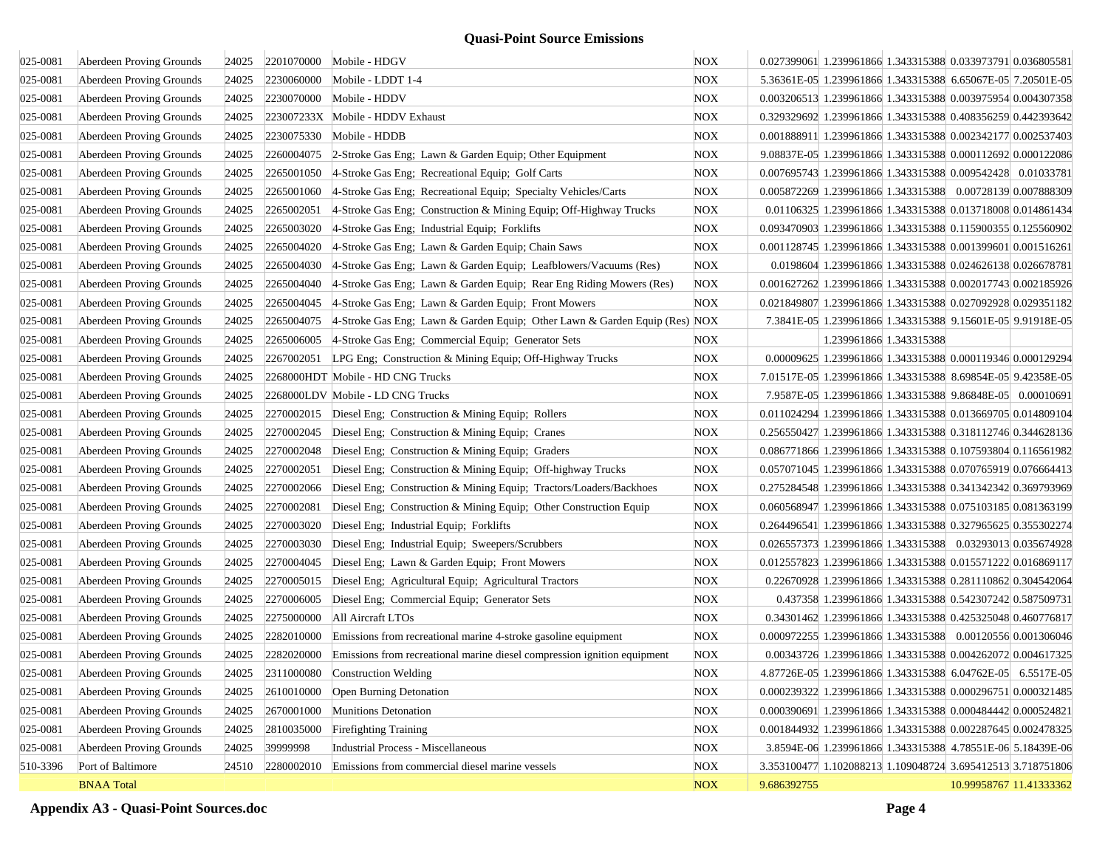| 025-0081 | Aberdeen Proving Grounds | 24025 |            | 2201070000 Mobile - HDGV                                                   | <b>NOX</b> | 0.027399061 1.239961866 1.343315388 0.033973791 0.036805581 |
|----------|--------------------------|-------|------------|----------------------------------------------------------------------------|------------|-------------------------------------------------------------|
| 025-0081 | Aberdeen Proving Grounds | 24025 | 2230060000 | Mobile - LDDT 1-4                                                          | <b>NOX</b> | 5.36361E-05 1.239961866 1.343315388 6.65067E-05 7.20501E-05 |
| 025-0081 | Aberdeen Proving Grounds | 24025 | 2230070000 | Mobile - HDDV                                                              | <b>NOX</b> | 0.003206513 1.239961866 1.343315388 0.003975954 0.004307358 |
| 025-0081 | Aberdeen Proving Grounds | 24025 |            | 223007233X Mobile - HDDV Exhaust                                           | <b>NOX</b> | 0.329329692 1.239961866 1.343315388 0.408356259 0.442393642 |
| 025-0081 | Aberdeen Proving Grounds | 24025 | 2230075330 | Mobile - HDDB                                                              | <b>NOX</b> | 0.001888911 1.239961866 1.343315388 0.002342177 0.002537403 |
| 025-0081 | Aberdeen Proving Grounds | 24025 | 2260004075 | 2-Stroke Gas Eng; Lawn & Garden Equip; Other Equipment                     | <b>NOX</b> | 9.08837E-05 1.239961866 1.343315388 0.000112692 0.000122086 |
| 025-0081 | Aberdeen Proving Grounds | 24025 | 2265001050 | 4-Stroke Gas Eng; Recreational Equip; Golf Carts                           | <b>NOX</b> | 0.007695743 1.239961866 1.343315388 0.009542428 0.01033781  |
| 025-0081 | Aberdeen Proving Grounds | 24025 | 2265001060 | 4-Stroke Gas Eng; Recreational Equip; Specialty Vehicles/Carts             | <b>NOX</b> | 0.005872269 1.239961866 1.343315388 0.00728139 0.007888309  |
| 025-0081 | Aberdeen Proving Grounds | 24025 | 2265002051 | 4-Stroke Gas Eng; Construction & Mining Equip; Off-Highway Trucks          | <b>NOX</b> | 0.01106325 1.239961866 1.343315388 0.013718008 0.014861434  |
| 025-0081 | Aberdeen Proving Grounds | 24025 | 2265003020 | 4-Stroke Gas Eng; Industrial Equip; Forklifts                              | <b>NOX</b> | 0.093470903 1.239961866 1.343315388 0.115900355 0.125560902 |
| 025-0081 | Aberdeen Proving Grounds | 24025 | 2265004020 | 4-Stroke Gas Eng; Lawn & Garden Equip; Chain Saws                          | <b>NOX</b> | 0.001128745 1.239961866 1.343315388 0.001399601 0.001516261 |
| 025-0081 | Aberdeen Proving Grounds | 24025 | 2265004030 | 4-Stroke Gas Eng; Lawn & Garden Equip; Leafblowers/Vacuums (Res)           | <b>NOX</b> | 0.0198604 1.239961866 1.343315388 0.024626138 0.026678781   |
| 025-0081 | Aberdeen Proving Grounds | 24025 | 2265004040 | 4-Stroke Gas Eng; Lawn & Garden Equip; Rear Eng Riding Mowers (Res)        | <b>NOX</b> | 0.001627262 1.239961866 1.343315388 0.002017743 0.002185926 |
| 025-0081 | Aberdeen Proving Grounds | 24025 | 2265004045 | 4-Stroke Gas Eng; Lawn & Garden Equip; Front Mowers                        | <b>NOX</b> | 0.021849807 1.239961866 1.343315388 0.027092928 0.029351182 |
| 025-0081 | Aberdeen Proving Grounds | 24025 | 2265004075 | 4-Stroke Gas Eng; Lawn & Garden Equip; Other Lawn & Garden Equip (Res) NOX |            | 7.3841E-05 1.239961866 1.343315388 9.15601E-05 9.91918E-05  |
| 025-0081 | Aberdeen Proving Grounds | 24025 | 2265006005 | 4-Stroke Gas Eng; Commercial Equip; Generator Sets                         | NOX        | 1.239961866 1.343315388                                     |
| 025-0081 | Aberdeen Proving Grounds | 24025 | 2267002051 | LPG Eng; Construction & Mining Equip; Off-Highway Trucks                   | <b>NOX</b> | 0.00009625 1.239961866 1.343315388 0.000119346 0.000129294  |
| 025-0081 | Aberdeen Proving Grounds | 24025 |            | 2268000HDT Mobile - HD CNG Trucks                                          | <b>NOX</b> | 7.01517E-05 1.239961866 1.343315388 8.69854E-05 9.42358E-05 |
| 025-0081 | Aberdeen Proving Grounds | 24025 |            | 2268000LDV Mobile - LD CNG Trucks                                          | <b>NOX</b> | 7.9587E-05 1.239961866 1.343315388 9.86848E-05 0.00010691   |
| 025-0081 | Aberdeen Proving Grounds | 24025 | 2270002015 | Diesel Eng; Construction & Mining Equip; Rollers                           | <b>NOX</b> | 0.011024294 1.239961866 1.343315388 0.013669705 0.014809104 |
| 025-0081 | Aberdeen Proving Grounds | 24025 | 2270002045 | Diesel Eng; Construction & Mining Equip; Cranes                            | <b>NOX</b> | 0.256550427 1.239961866 1.343315388 0.318112746 0.344628136 |
| 025-0081 | Aberdeen Proving Grounds | 24025 | 2270002048 | Diesel Eng; Construction & Mining Equip; Graders                           | <b>NOX</b> | 0.086771866 1.239961866 1.343315388 0.107593804 0.116561982 |
| 025-0081 | Aberdeen Proving Grounds | 24025 | 2270002051 | Diesel Eng; Construction & Mining Equip; Off-highway Trucks                | <b>NOX</b> | 0.057071045 1.239961866 1.343315388 0.070765919 0.076664413 |
| 025-0081 | Aberdeen Proving Grounds | 24025 | 2270002066 | Diesel Eng; Construction & Mining Equip; Tractors/Loaders/Backhoes         | <b>NOX</b> | 0.275284548 1.239961866 1.343315388 0.341342342 0.369793969 |
| 025-0081 | Aberdeen Proving Grounds | 24025 | 2270002081 | Diesel Eng; Construction & Mining Equip; Other Construction Equip          | NOX        | 0.060568947 1.239961866 1.343315388 0.075103185 0.081363199 |
| 025-0081 | Aberdeen Proving Grounds | 24025 | 2270003020 | Diesel Eng; Industrial Equip; Forklifts                                    | <b>NOX</b> | 0.264496541 1.239961866 1.343315388 0.327965625 0.355302274 |
| 025-0081 | Aberdeen Proving Grounds | 24025 | 2270003030 | Diesel Eng; Industrial Equip; Sweepers/Scrubbers                           | <b>NOX</b> | 0.026557373 1.239961866 1.343315388 0.03293013 0.035674928  |
| 025-0081 | Aberdeen Proving Grounds | 24025 | 2270004045 | Diesel Eng; Lawn & Garden Equip; Front Mowers                              | <b>NOX</b> | 0.012557823 1.239961866 1.343315388 0.015571222 0.016869117 |
| 025-0081 | Aberdeen Proving Grounds | 24025 | 2270005015 | Diesel Eng; Agricultural Equip; Agricultural Tractors                      | <b>NOX</b> | 0.22670928 1.239961866 1.343315388 0.281110862 0.304542064  |
| 025-0081 | Aberdeen Proving Grounds | 24025 | 2270006005 | Diesel Eng; Commercial Equip; Generator Sets                               | NOX        | 0.437358 1.239961866 1.343315388 0.542307242 0.587509731    |
| 025-0081 | Aberdeen Proving Grounds | 24025 | 2275000000 | All Aircraft LTOs                                                          | NOX        | 0.34301462 1.239961866 1.343315388 0.425325048 0.460776817  |
| 025-0081 | Aberdeen Proving Grounds | 24025 | 2282010000 | Emissions from recreational marine 4-stroke gasoline equipment             | <b>NOX</b> | 0.000972255 1.239961866 1.343315388 0.00120556 0.001306046  |
| 025-0081 | Aberdeen Proving Grounds | 24025 | 2282020000 | Emissions from recreational marine diesel compression ignition equipment   | <b>NOX</b> | 0.00343726 1.239961866 1.343315388 0.004262072 0.004617325  |
| 025-0081 | Aberdeen Proving Grounds | 24025 | 2311000080 | Construction Welding                                                       | <b>NOX</b> | 4.87726E-05 1.239961866 1.343315388 6.04762E-05 6.5517E-05  |
| 025-0081 | Aberdeen Proving Grounds | 24025 |            | 2610010000 Open Burning Detonation                                         | <b>NOX</b> | 0.000239322 1.239961866 1.343315388 0.000296751 0.000321485 |
| 025-0081 | Aberdeen Proving Grounds | 24025 | 2670001000 | Munitions Detonation                                                       | <b>NOX</b> | 0.000390691 1.239961866 1.343315388 0.000484442 0.000524821 |
| 025-0081 | Aberdeen Proving Grounds | 24025 | 2810035000 | <b>Firefighting Training</b>                                               | <b>NOX</b> | 0.001844932 1.239961866 1.343315388 0.002287645 0.002478325 |
| 025-0081 | Aberdeen Proving Grounds | 24025 | 39999998   | Industrial Process - Miscellaneous                                         | <b>NOX</b> | 3.8594E-06 1.239961866 1.343315388 4.78551E-06 5.18439E-06  |
| 510-3396 | Port of Baltimore        | 24510 | 2280002010 | Emissions from commercial diesel marine vessels                            | <b>NOX</b> | 3.353100477 1.102088213 1.109048724 3.695412513 3.718751806 |
|          | <b>BNAA Total</b>        |       |            |                                                                            | NOX        | 9.686392755<br>10.99958767 11.41333362                      |